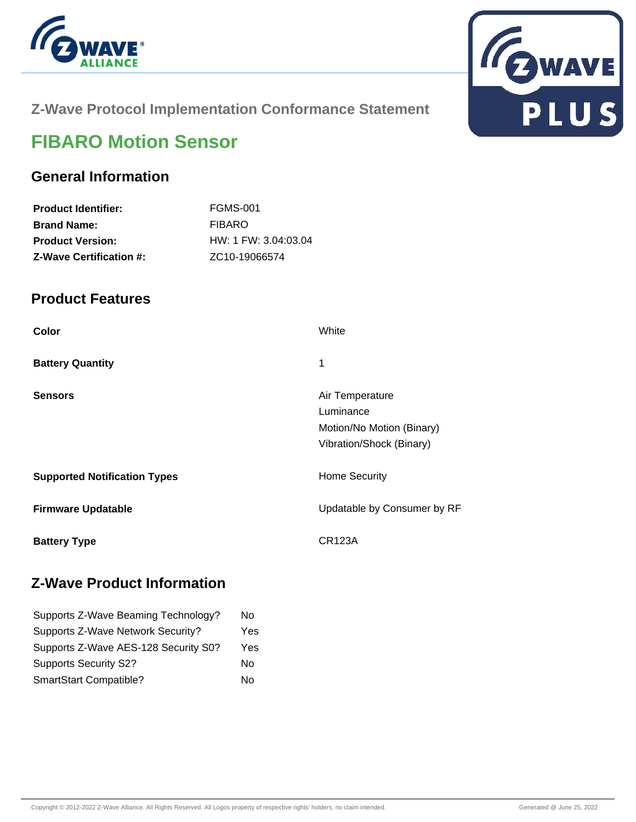



# **Z-Wave Protocol Implementation Conformance Statement**

# **FIBARO Motion Sensor**

## **General Information**

| <b>Product Identifier:</b>     | <b>FGMS-001</b>            |
|--------------------------------|----------------------------|
| <b>Brand Name:</b>             | FIBARO                     |
| <b>Product Version:</b>        | $HW: 1$ FW: 3.04:03.04     |
| <b>Z-Wave Certification #:</b> | ZC <sub>10</sub> -19066574 |

### **Product Features**

| Color                               | White                                                                                 |
|-------------------------------------|---------------------------------------------------------------------------------------|
| <b>Battery Quantity</b>             | 1                                                                                     |
| <b>Sensors</b>                      | Air Temperature<br>Luminance<br>Motion/No Motion (Binary)<br>Vibration/Shock (Binary) |
| <b>Supported Notification Types</b> | <b>Home Security</b>                                                                  |
| <b>Firmware Updatable</b>           | Updatable by Consumer by RF                                                           |
| <b>Battery Type</b>                 | CR123A                                                                                |

### **Z-Wave Product Information**

| No  |
|-----|
| Yes |
| Yes |
| No  |
| No  |
|     |